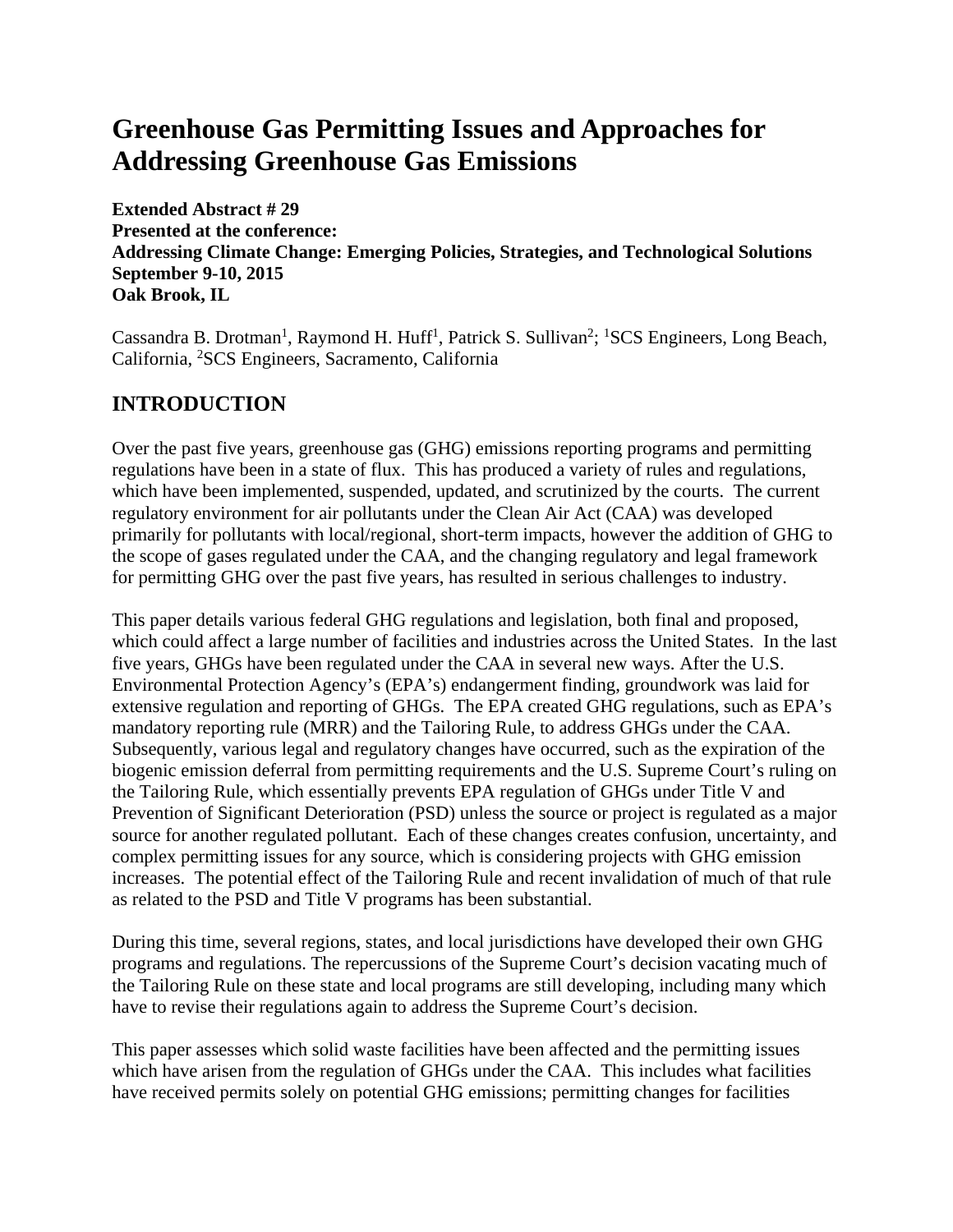# **Greenhouse Gas Permitting Issues and Approaches for Addressing Greenhouse Gas Emissions**

**Extended Abstract # 29 Presented at the conference: Addressing Climate Change: Emerging Policies, Strategies, and Technological Solutions September 9-10, 2015 Oak Brook, IL**

Cassandra B. Drotman<sup>1</sup>, Raymond H. Huff<sup>1</sup>, Patrick S. Sullivan<sup>2</sup>; <sup>1</sup>SCS Engineers, Long Beach, California, <sup>2</sup>SCS Engineers, Sacramento, California

## **INTRODUCTION**

Over the past five years, greenhouse gas (GHG) emissions reporting programs and permitting regulations have been in a state of flux. This has produced a variety of rules and regulations, which have been implemented, suspended, updated, and scrutinized by the courts. The current regulatory environment for air pollutants under the Clean Air Act (CAA) was developed primarily for pollutants with local/regional, short-term impacts, however the addition of GHG to the scope of gases regulated under the CAA, and the changing regulatory and legal framework for permitting GHG over the past five years, has resulted in serious challenges to industry.

This paper details various federal GHG regulations and legislation, both final and proposed, which could affect a large number of facilities and industries across the United States. In the last five years, GHGs have been regulated under the CAA in several new ways. After the U.S. Environmental Protection Agency's (EPA's) endangerment finding, groundwork was laid for extensive regulation and reporting of GHGs. The EPA created GHG regulations, such as EPA's mandatory reporting rule (MRR) and the Tailoring Rule, to address GHGs under the CAA. Subsequently, various legal and regulatory changes have occurred, such as the expiration of the biogenic emission deferral from permitting requirements and the U.S. Supreme Court's ruling on the Tailoring Rule, which essentially prevents EPA regulation of GHGs under Title V and Prevention of Significant Deterioration (PSD) unless the source or project is regulated as a major source for another regulated pollutant. Each of these changes creates confusion, uncertainty, and complex permitting issues for any source, which is considering projects with GHG emission increases. The potential effect of the Tailoring Rule and recent invalidation of much of that rule as related to the PSD and Title V programs has been substantial.

During this time, several regions, states, and local jurisdictions have developed their own GHG programs and regulations. The repercussions of the Supreme Court's decision vacating much of the Tailoring Rule on these state and local programs are still developing, including many which have to revise their regulations again to address the Supreme Court's decision.

This paper assesses which solid waste facilities have been affected and the permitting issues which have arisen from the regulation of GHGs under the CAA. This includes what facilities have received permits solely on potential GHG emissions; permitting changes for facilities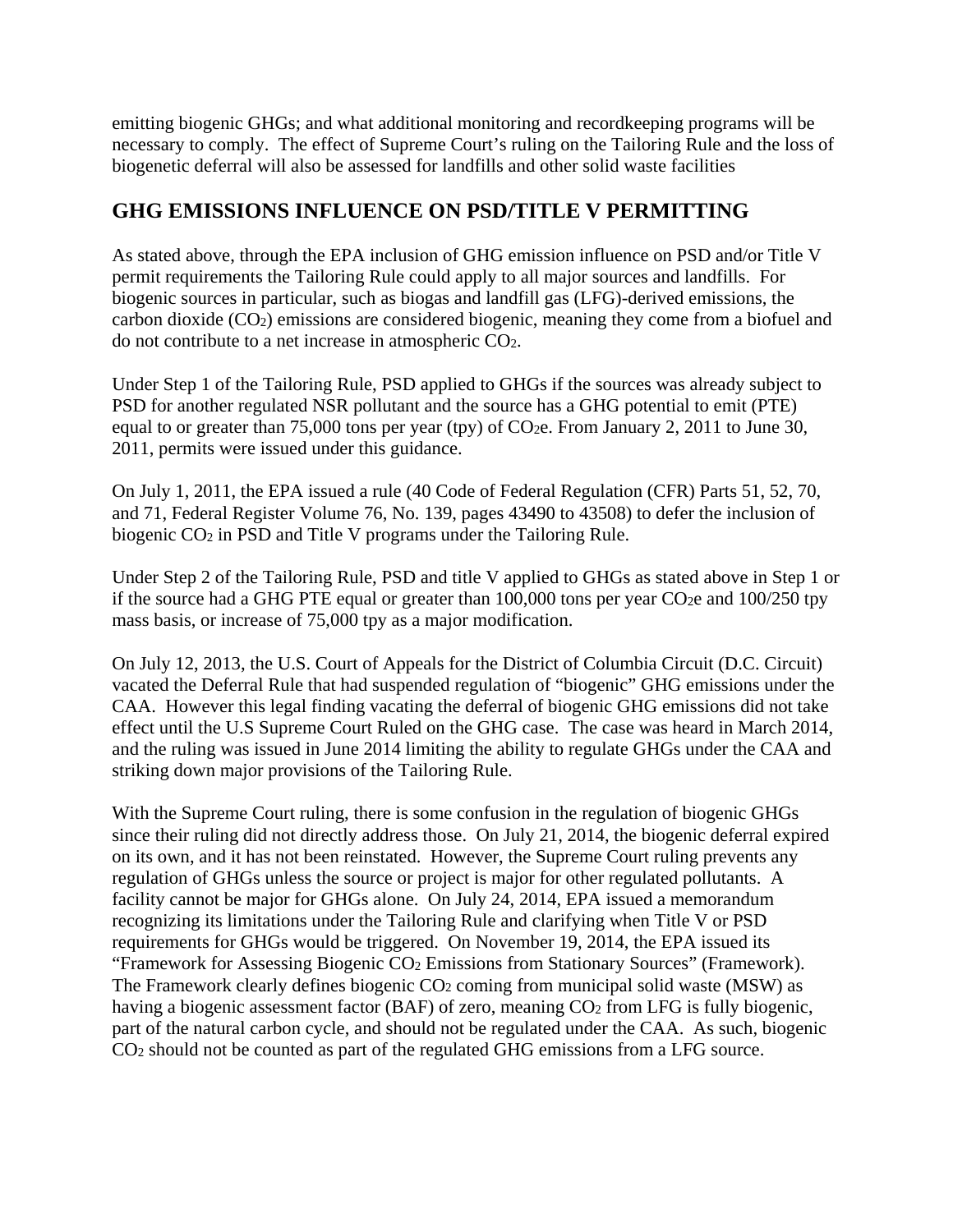emitting biogenic GHGs; and what additional monitoring and recordkeeping programs will be necessary to comply. The effect of Supreme Court's ruling on the Tailoring Rule and the loss of biogenetic deferral will also be assessed for landfills and other solid waste facilities

#### **GHG EMISSIONS INFLUENCE ON PSD/TITLE V PERMITTING**

As stated above, through the EPA inclusion of GHG emission influence on PSD and/or Title V permit requirements the Tailoring Rule could apply to all major sources and landfills. For biogenic sources in particular, such as biogas and landfill gas (LFG)-derived emissions, the carbon dioxide (CO2) emissions are considered biogenic, meaning they come from a biofuel and do not contribute to a net increase in atmospheric CO2.

Under Step 1 of the Tailoring Rule, PSD applied to GHGs if the sources was already subject to PSD for another regulated NSR pollutant and the source has a GHG potential to emit (PTE) equal to or greater than 75,000 tons per year (tpy) of  $CO<sub>2</sub>e$ . From January 2, 2011 to June 30, 2011, permits were issued under this guidance.

On July 1, 2011, the EPA issued a rule (40 Code of Federal Regulation (CFR) Parts 51, 52, 70, and 71, Federal Register Volume 76, No. 139, pages 43490 to 43508) to defer the inclusion of biogenic CO<sub>2</sub> in PSD and Title V programs under the Tailoring Rule.

Under Step 2 of the Tailoring Rule, PSD and title V applied to GHGs as stated above in Step 1 or if the source had a GHG PTE equal or greater than  $100,000$  tons per year CO<sub>2</sub>e and  $100/250$  tpy mass basis, or increase of 75,000 tpy as a major modification.

On July 12, 2013, the U.S. Court of Appeals for the District of Columbia Circuit (D.C. Circuit) vacated the Deferral Rule that had suspended regulation of "biogenic" GHG emissions under the CAA. However this legal finding vacating the deferral of biogenic GHG emissions did not take effect until the U.S Supreme Court Ruled on the GHG case. The case was heard in March 2014, and the ruling was issued in June 2014 limiting the ability to regulate GHGs under the CAA and striking down major provisions of the Tailoring Rule.

With the Supreme Court ruling, there is some confusion in the regulation of biogenic GHGs since their ruling did not directly address those. On July 21, 2014, the biogenic deferral expired on its own, and it has not been reinstated. However, the Supreme Court ruling prevents any regulation of GHGs unless the source or project is major for other regulated pollutants. A facility cannot be major for GHGs alone. On July 24, 2014, EPA issued a memorandum recognizing its limitations under the Tailoring Rule and clarifying when Title V or PSD requirements for GHGs would be triggered. On November 19, 2014, the EPA issued its "Framework for Assessing Biogenic CO2 Emissions from Stationary Sources" (Framework). The Framework clearly defines biogenic  $CO<sub>2</sub>$  coming from municipal solid waste (MSW) as having a biogenic assessment factor (BAF) of zero, meaning CO<sub>2</sub> from LFG is fully biogenic, part of the natural carbon cycle, and should not be regulated under the CAA. As such, biogenic CO2 should not be counted as part of the regulated GHG emissions from a LFG source.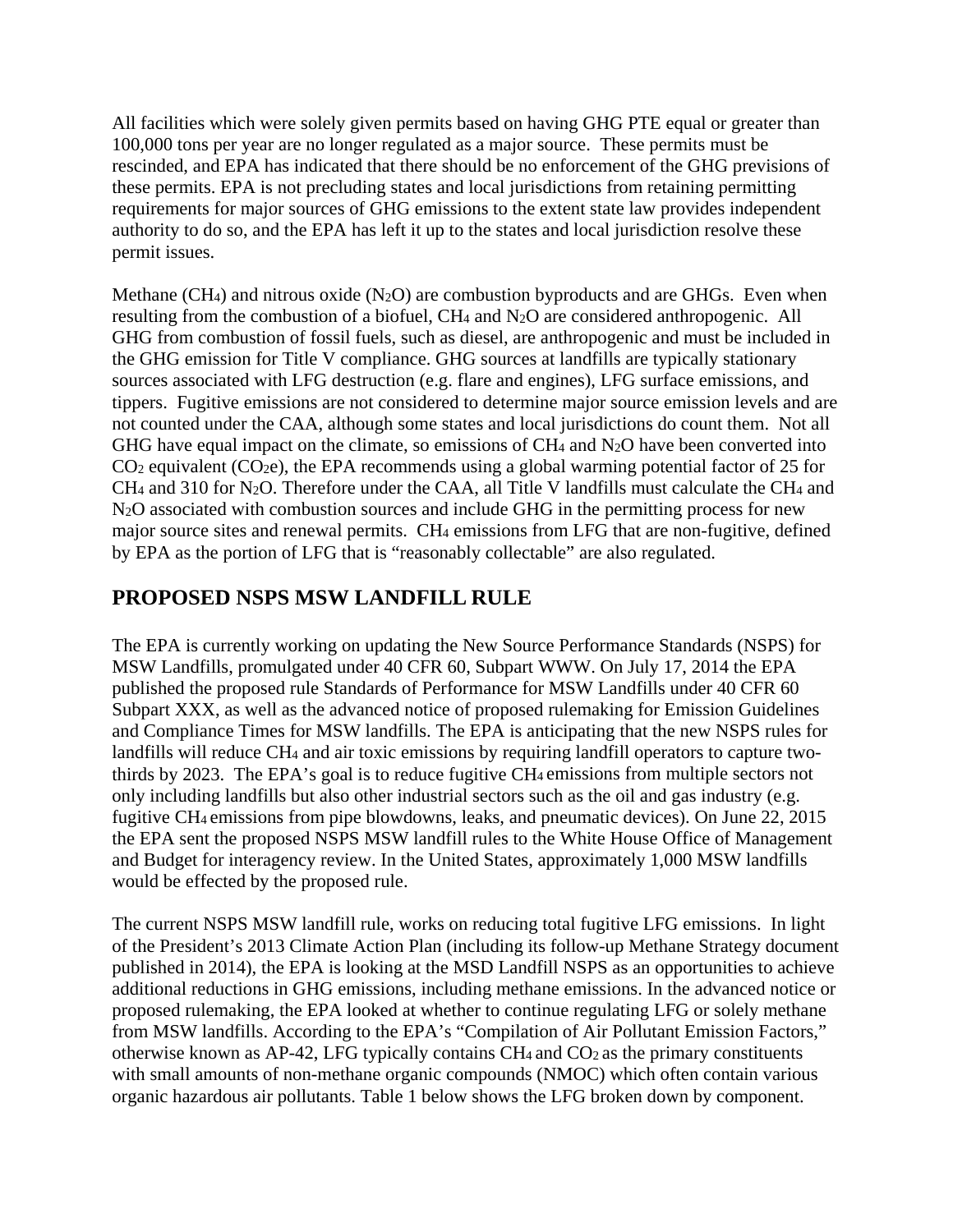All facilities which were solely given permits based on having GHG PTE equal or greater than 100,000 tons per year are no longer regulated as a major source. These permits must be rescinded, and EPA has indicated that there should be no enforcement of the GHG previsions of these permits. EPA is not precluding states and local jurisdictions from retaining permitting requirements for major sources of GHG emissions to the extent state law provides independent authority to do so, and the EPA has left it up to the states and local jurisdiction resolve these permit issues.

Methane (CH<sub>4</sub>) and nitrous oxide (N<sub>2</sub>O) are combustion byproducts and are GHGs. Even when resulting from the combustion of a biofuel, CH4 and N2O are considered anthropogenic. All GHG from combustion of fossil fuels, such as diesel, are anthropogenic and must be included in the GHG emission for Title V compliance. GHG sources at landfills are typically stationary sources associated with LFG destruction (e.g. flare and engines), LFG surface emissions, and tippers. Fugitive emissions are not considered to determine major source emission levels and are not counted under the CAA, although some states and local jurisdictions do count them. Not all GHG have equal impact on the climate, so emissions of  $CH_4$  and  $N_2O$  have been converted into  $CO<sub>2</sub>$  equivalent ( $CO<sub>2</sub>e$ ), the EPA recommends using a global warming potential factor of 25 for CH4 and 310 for N2O. Therefore under the CAA, all Title V landfills must calculate the CH4 and N<sub>2</sub>O associated with combustion sources and include GHG in the permitting process for new major source sites and renewal permits. CH4 emissions from LFG that are non-fugitive, defined by EPA as the portion of LFG that is "reasonably collectable" are also regulated.

### **PROPOSED NSPS MSW LANDFILL RULE**

The EPA is currently working on updating the New Source Performance Standards (NSPS) for MSW Landfills, promulgated under 40 CFR 60, Subpart WWW. On July 17, 2014 the EPA published the proposed rule Standards of Performance for MSW Landfills under 40 CFR 60 Subpart XXX, as well as the advanced notice of proposed rulemaking for Emission Guidelines and Compliance Times for MSW landfills. The EPA is anticipating that the new NSPS rules for landfills will reduce CH4 and air toxic emissions by requiring landfill operators to capture twothirds by 2023. The EPA's goal is to reduce fugitive CH4 emissions from multiple sectors not only including landfills but also other industrial sectors such as the oil and gas industry (e.g. fugitive CH4 emissions from pipe blowdowns, leaks, and pneumatic devices). On June 22, 2015 the EPA sent the proposed NSPS MSW landfill rules to the White House Office of Management and Budget for interagency review. In the United States, approximately 1,000 MSW landfills would be effected by the proposed rule.

The current NSPS MSW landfill rule, works on reducing total fugitive LFG emissions. In light of the President's 2013 Climate Action Plan (including its follow-up Methane Strategy document published in 2014), the EPA is looking at the MSD Landfill NSPS as an opportunities to achieve additional reductions in GHG emissions, including methane emissions. In the advanced notice or proposed rulemaking, the EPA looked at whether to continue regulating LFG or solely methane from MSW landfills. According to the EPA's "Compilation of Air Pollutant Emission Factors," otherwise known as AP-42, LFG typically contains  $CH_4$  and  $CO_2$  as the primary constituents with small amounts of non-methane organic compounds (NMOC) which often contain various organic hazardous air pollutants. Table 1 below shows the LFG broken down by component.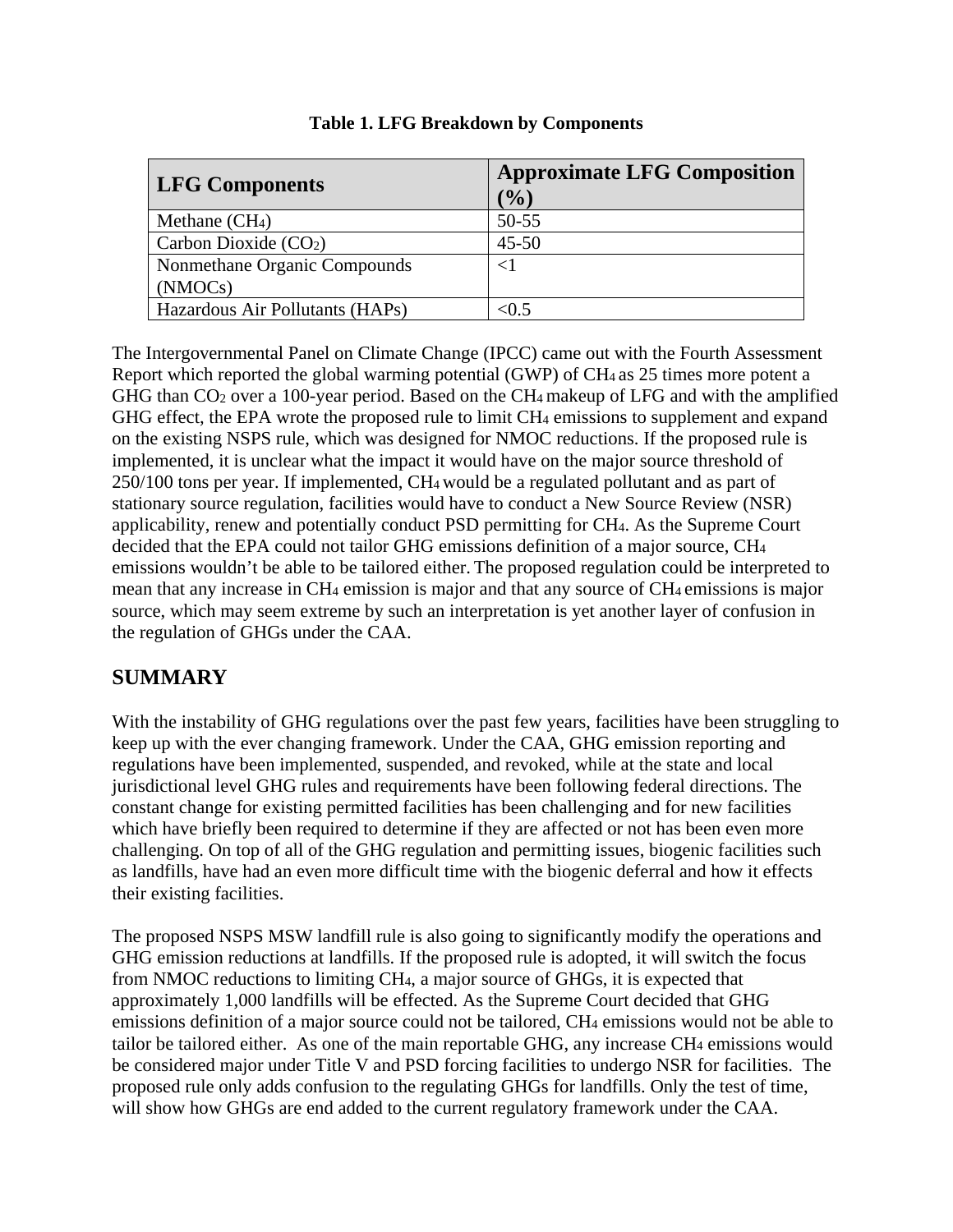| <b>LFG Components</b>           | <b>Approximate LFG Composition</b><br>$\mathcal{O}_0$ |
|---------------------------------|-------------------------------------------------------|
| Methane $(CH4)$                 | $50 - 55$                                             |
| Carbon Dioxide $(CO2)$          | $45 - 50$                                             |
| Nonmethane Organic Compounds    | ${<}1$                                                |
| (NMOCs)                         |                                                       |
| Hazardous Air Pollutants (HAPs) | $< \!\! 0.5$                                          |

| Table 1. LFG Breakdown by Components |  |  |  |  |  |
|--------------------------------------|--|--|--|--|--|
|--------------------------------------|--|--|--|--|--|

The Intergovernmental Panel on Climate Change (IPCC) came out with the Fourth Assessment Report which reported the global warming potential (GWP) of  $CH_4$  as 25 times more potent a GHG than CO<sub>2</sub> over a 100-year period. Based on the CH<sub>4</sub> makeup of LFG and with the amplified GHG effect, the EPA wrote the proposed rule to limit CH<sub>4</sub> emissions to supplement and expand on the existing NSPS rule, which was designed for NMOC reductions. If the proposed rule is implemented, it is unclear what the impact it would have on the major source threshold of 250/100 tons per year. If implemented, CH4 would be a regulated pollutant and as part of stationary source regulation, facilities would have to conduct a New Source Review (NSR) applicability, renew and potentially conduct PSD permitting for CH4. As the Supreme Court decided that the EPA could not tailor GHG emissions definition of a major source, CH4 emissions wouldn't be able to be tailored either. The proposed regulation could be interpreted to mean that any increase in CH4 emission is major and that any source of CH4 emissions is major source, which may seem extreme by such an interpretation is yet another layer of confusion in the regulation of GHGs under the CAA.

#### **SUMMARY**

With the instability of GHG regulations over the past few years, facilities have been struggling to keep up with the ever changing framework. Under the CAA, GHG emission reporting and regulations have been implemented, suspended, and revoked, while at the state and local jurisdictional level GHG rules and requirements have been following federal directions. The constant change for existing permitted facilities has been challenging and for new facilities which have briefly been required to determine if they are affected or not has been even more challenging. On top of all of the GHG regulation and permitting issues, biogenic facilities such as landfills, have had an even more difficult time with the biogenic deferral and how it effects their existing facilities.

The proposed NSPS MSW landfill rule is also going to significantly modify the operations and GHG emission reductions at landfills. If the proposed rule is adopted, it will switch the focus from NMOC reductions to limiting CH4, a major source of GHGs, it is expected that approximately 1,000 landfills will be effected. As the Supreme Court decided that GHG emissions definition of a major source could not be tailored, CH4 emissions would not be able to tailor be tailored either. As one of the main reportable GHG, any increase CH4 emissions would be considered major under Title V and PSD forcing facilities to undergo NSR for facilities. The proposed rule only adds confusion to the regulating GHGs for landfills. Only the test of time, will show how GHGs are end added to the current regulatory framework under the CAA.